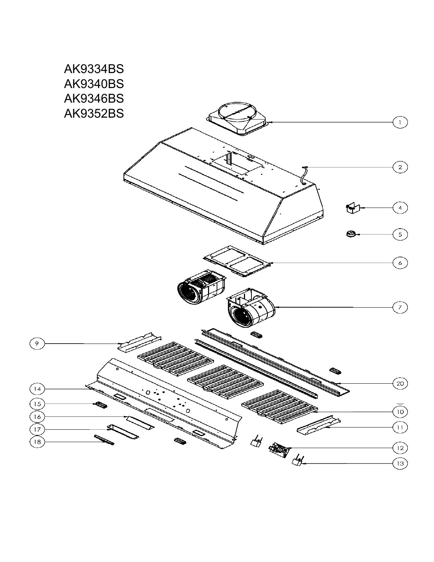